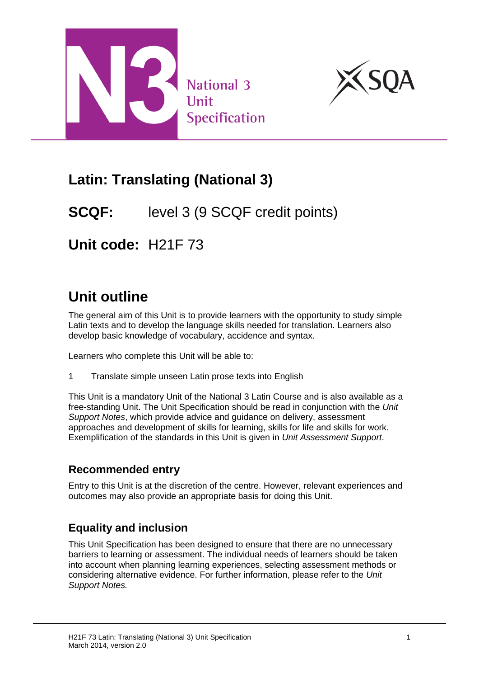



## **Latin: Translating (National 3)**

### **SCQF:** level 3 (9 SCQF credit points)

**Unit code:** H21F 73

# **Unit outline**

The general aim of this Unit is to provide learners with the opportunity to study simple Latin texts and to develop the language skills needed for translation. Learners also develop basic knowledge of vocabulary, accidence and syntax.

Learners who complete this Unit will be able to:

1 Translate simple unseen Latin prose texts into English

This Unit is a mandatory Unit of the National 3 Latin Course and is also available as a free-standing Unit. The Unit Specification should be read in conjunction with the *Unit Support Notes*, which provide advice and guidance on delivery, assessment approaches and development of skills for learning, skills for life and skills for work. Exemplification of the standards in this Unit is given in *Unit Assessment Support*.

#### **Recommended entry**

Entry to this Unit is at the discretion of the centre. However, relevant experiences and outcomes may also provide an appropriate basis for doing this Unit.

#### **Equality and inclusion**

This Unit Specification has been designed to ensure that there are no unnecessary barriers to learning or assessment. The individual needs of learners should be taken into account when planning learning experiences, selecting assessment methods or considering alternative evidence. For further information, please refer to the *Unit Support Notes.*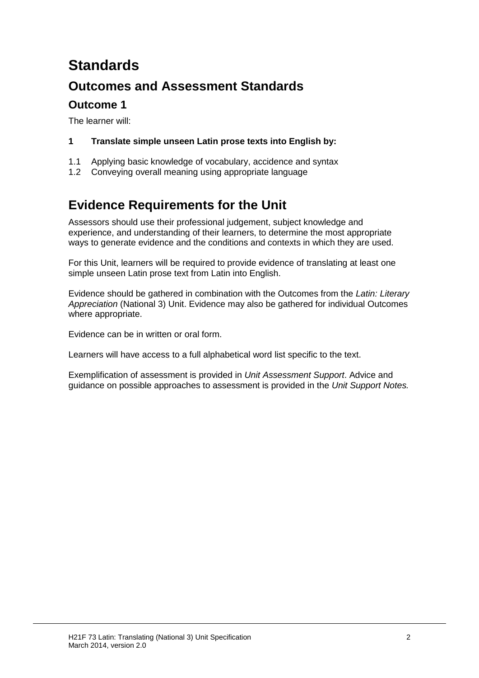# **Standards**

### **Outcomes and Assessment Standards**

### **Outcome 1**

The learner will:

- **1 Translate simple unseen Latin prose texts into English by:**
- 1.1 Applying basic knowledge of vocabulary, accidence and syntax
- 1.2 Conveying overall meaning using appropriate language

### **Evidence Requirements for the Unit**

Assessors should use their professional judgement, subject knowledge and experience, and understanding of their learners, to determine the most appropriate ways to generate evidence and the conditions and contexts in which they are used.

For this Unit, learners will be required to provide evidence of translating at least one simple unseen Latin prose text from Latin into English.

Evidence should be gathered in combination with the Outcomes from the *Latin: Literary Appreciation* (National 3) Unit. Evidence may also be gathered for individual Outcomes where appropriate.

Evidence can be in written or oral form.

Learners will have access to a full alphabetical word list specific to the text.

Exemplification of assessment is provided in *Unit Assessment Support*. Advice and guidance on possible approaches to assessment is provided in the *Unit Support Notes.*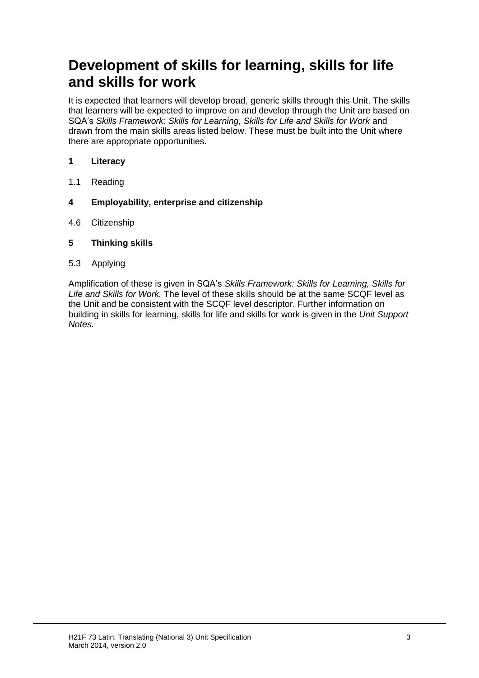## **Development of skills for learning, skills for life and skills for work**

It is expected that learners will develop broad, generic skills through this Unit. The skills that learners will be expected to improve on and develop through the Unit are based on SQA's *Skills Framework: Skills for Learning, Skills for Life and Skills for Work* and drawn from the main skills areas listed below. These must be built into the Unit where there are appropriate opportunities.

#### **1 Literacy**

- 1.1 Reading
- **4 Employability, enterprise and citizenship**
- 4.6 Citizenship
- **5 Thinking skills**
- 5.3 Applying

Amplification of these is given in SQA's *Skills Framework: Skills for Learning, Skills for Life and Skills for Work.* The level of these skills should be at the same SCQF level as the Unit and be consistent with the SCQF level descriptor. Further information on building in skills for learning, skills for life and skills for work is given in the *Unit Support Notes.*